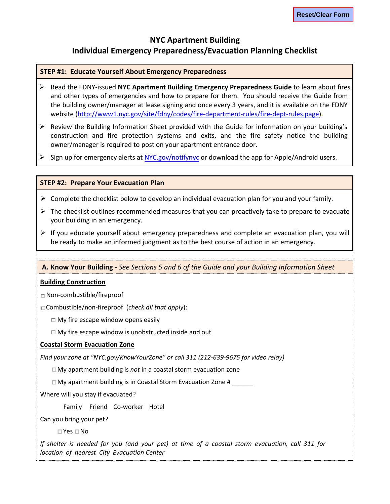# **NYC Apartment Building Individual Emergency Preparedness/Evacuation Planning Checklist**

#### **STEP #1: Educate Yourself About Emergency Preparedness**

- Read the FDNY-issued **NYC Apartment Building Emergency Preparedness Guide** to learn about fires and other types of emergencies and how to prepare for them. You should receive the Guide from the building owner/manager at lease signing and once every 3 years, and it is available on the FDNY website [\(http://www1.nyc.gov/site/fdny/codes/fire-department-rules/fire-dept-rules.page\).](http://www1.nyc.gov/site/fdny/codes/fire-department-rules/fire-dept-rules.page)
- $\triangleright$  Review the Building Information Sheet provided with the Guide for information on your building's construction and fire protection systems and exits, and the fire safety notice the building owner/manager is required to post on your apartment entrance door.
- $\triangleright$  Sign up for emergency alerts at NYC.gov/notifynyc or download the app for Apple/Android users.

#### **STEP #2: Prepare Your Evacuation Plan**

- $\triangleright$  Complete the checklist below to develop an individual evacuation plan for you and your family.
- $\triangleright$  The checklist outlines recommended measures that you can proactively take to prepare to evacuate your building in an emergency.
- $\triangleright$  If you educate yourself about emergency preparedness and complete an evacuation plan, you will be ready to make an informed judgment as to the best course of action in an emergency.

#### **A. Know Your Building -** *See Sections 5 and 6 of the Guide and your Building Information Sheet*

#### **Building Construction**

**□** Non-combustible/fireproof

□ Combustible/non-fireproof (*check all that apply*):

**□** My fire escape window opens easily

**□** My fire escape window is unobstructed inside and out

#### **Coastal Storm Evacuation Zone**

*Find your zone at "NYC.gov/KnowYourZone" or call 311 (212-639-9675 for video relay)*

**□** My apartment building is *not* in a coastal storm evacuation zone

 $\square$  My apartment building is in Coastal Storm Evacuation Zone #  $\square$ 

Where will you stay if evacuated?

Family Friend Co-worker Hotel

Can you bring your pet?

**□** Yes **□** No

*If shelter is needed for you (and your pet) at time of a coastal storm evacuation, call 311 for location of nearest City Evacuation Center*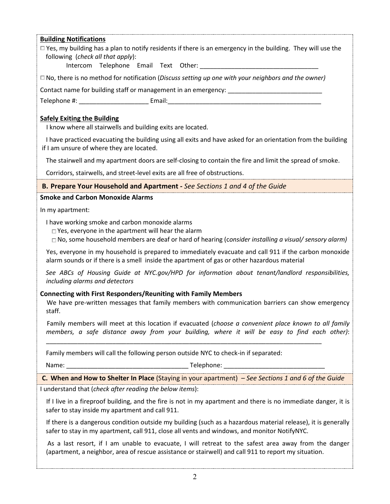#### **Building Notifications**

**□** Yes, my building has a plan to notify residents if there is an emergency in the building. They will use the following (*check all that apply*):

□ Intercom □ Telephone □ Email □ Text □ Other: \_\_\_\_\_\_\_\_\_\_\_\_\_\_\_\_\_\_\_\_\_\_\_\_\_\_\_\_\_\_\_\_\_\_

□ No, there is no method for notification (*Discuss setting up one with your neighbors and the owner)*

Contact name for building staff or management in an emergency: \_\_\_\_\_\_\_\_\_\_\_\_\_\_\_\_\_

Telephone #: \_\_\_\_\_\_\_\_\_\_\_\_\_\_\_\_\_\_\_\_\_\_\_\_\_\_\_\_\_ Email: \_\_\_\_\_\_\_\_\_\_\_\_\_\_\_\_\_\_\_\_\_\_\_\_\_\_\_\_\_\_

# **Safely Exiting the Building**

**□** I know where all stairwells and building exits are located.

**□** I have practiced evacuating the building using all exits and have asked for an orientation from the building if I am unsure of where they are located.

**□** The stairwell and my apartment doors are self-closing to contain the fire and limit the spread of smoke.

**□** Corridors, stairwells, and street-level exits are all free of obstructions.

### **B. Prepare Your Household and Apartment** *- See Sections 1 and 4 of the Guide*

#### **Smoke and Carbon Monoxide Alarms**

In my apartment:

**□** I have working smoke and carbon monoxide alarms

**□** Yes, everyone in the apartment will hear the alarm

**□** No, some household members are deaf or hard of hearing (c*onsider installing a visual/ sensory alarm)*

Yes, everyone in my household is prepared to immediately evacuate and call 911 if the carbon monoxide alarm sounds or if there is a smell inside the apartment of gas or other hazardous material

*See ABCs of Housing Guide at NYC.gov/HPD for information about tenant/landlord responsibilities, including alarms and detectors*

### **Connecting with First Responders/Reuniting with Family Members**

We have pre-written messages that family members with communication barriers can show emergency staff.

Family members will meet at this location if evacuated (*choose a convenient place known to all family members, a safe distance away from your building, where it will be easy to find each other)*:

Family members will call the following person outside NYC to check-in if separated:

Name: \_\_\_\_\_\_\_\_\_\_\_\_\_\_\_\_\_\_\_\_\_\_\_\_\_\_\_\_\_\_\_\_\_\_\_ Telephone: \_\_\_\_\_\_\_\_\_\_\_\_\_\_\_\_\_\_\_\_\_\_\_\_\_\_\_\_\_

**C. When and How to Shelter In Place** (Staying in your apartment) *– See Sections 1 and 6 of the Guide*

\_\_\_\_\_\_\_\_\_\_\_\_\_\_\_\_\_\_\_\_\_\_\_\_\_\_\_\_\_\_\_\_\_\_\_\_\_\_\_\_\_\_\_\_\_\_\_\_\_\_\_\_\_\_\_\_\_\_\_\_\_\_\_\_\_\_\_\_\_\_\_\_\_\_\_\_\_\_\_

I understand that (*check after reading the below items*):

**□** If I live in a fireproof building, and the fire is not in my apartment and there is no immediate danger, it is safer to stay inside my apartment and call 911.

**□** If there is a dangerous condition outside my building (such as a hazardous material release), it is generally safer to stay in my apartment, call 911, close all vents and windows, and monitor NotifyNYC.

As a last resort, if I am unable to evacuate, I will retreat to the safest area away from the danger (apartment, a neighbor, area of rescue assistance or stairwell) and call 911 to report my situation.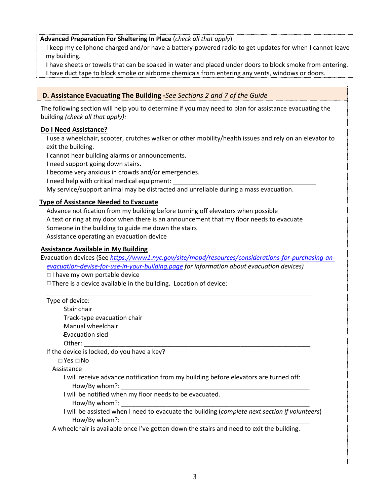# **Advanced Preparation For Sheltering In Place** (*check all that apply*)

**□** I keep my cellphone charged and/or have a battery-powered radio to get updates for when I cannot leave my building.

**□** I have sheets or towels that can be soaked in water and placed under doors to block smoke from entering. I have duct tape to block smoke or airborne chemicals from entering any vents, windows or doors.

# **D. Assistance Evacuating The Building -***See Sections 2 and 7 of the Guide*

The following section will help you to determine if you may need to plan for assistance evacuating the building *(check all that apply):*

### **Do I Need Assistance?**

**□** I use a wheelchair, scooter, crutches walker or other mobility/health issues and rely on an elevator to exit the building.

**□** I cannot hear building alarms or announcements.

**□** I need support going down stairs.

**□** I become very anxious in crowds and/or emergencies.

**I** need help with critical medical equipment:

**□** My service/support animal may be distracted and unreliable during a mass evacuation.

### **Type of Assistance Needed to Evacuate**

Advance notification from my building before turning off elevators when possible **□** A text or ring at my door when there is an announcement that my floor needs to evacuate Someone in the building to guide me down the stairs Assistance operating an evacuation device

#### **Assistance Available in My Building**

Evacuation devices (See *https://www1.nyc.gov/site/mopd/resources/considerations-for-purchasing-anevacuation-devise-for-use-in-your-building.page for information about evacuation devices)*

**□** I have my own portable device

**□** There is a device available in the building. Location of device:

| Type of device:                                                                                                |
|----------------------------------------------------------------------------------------------------------------|
| Stair chair                                                                                                    |
| Track-type evacuation chair                                                                                    |
| Manual wheelchair                                                                                              |
| Evacuation sled                                                                                                |
|                                                                                                                |
| If the device is locked, do you have a key?                                                                    |
| $\Box$ Yes $\Box$ No                                                                                           |
| Assistance                                                                                                     |
| I will receive advance notification from my building before elevators are turned off:<br>How/By whom?:         |
| I will be notified when my floor needs to be evacuated.<br>How/By whom?:                                       |
| I will be assisted when I need to evacuate the building (complete next section if volunteers)<br>How/By whom?: |
| A wheelchair is available once I've gotten down the stairs and need to exit the building.                      |